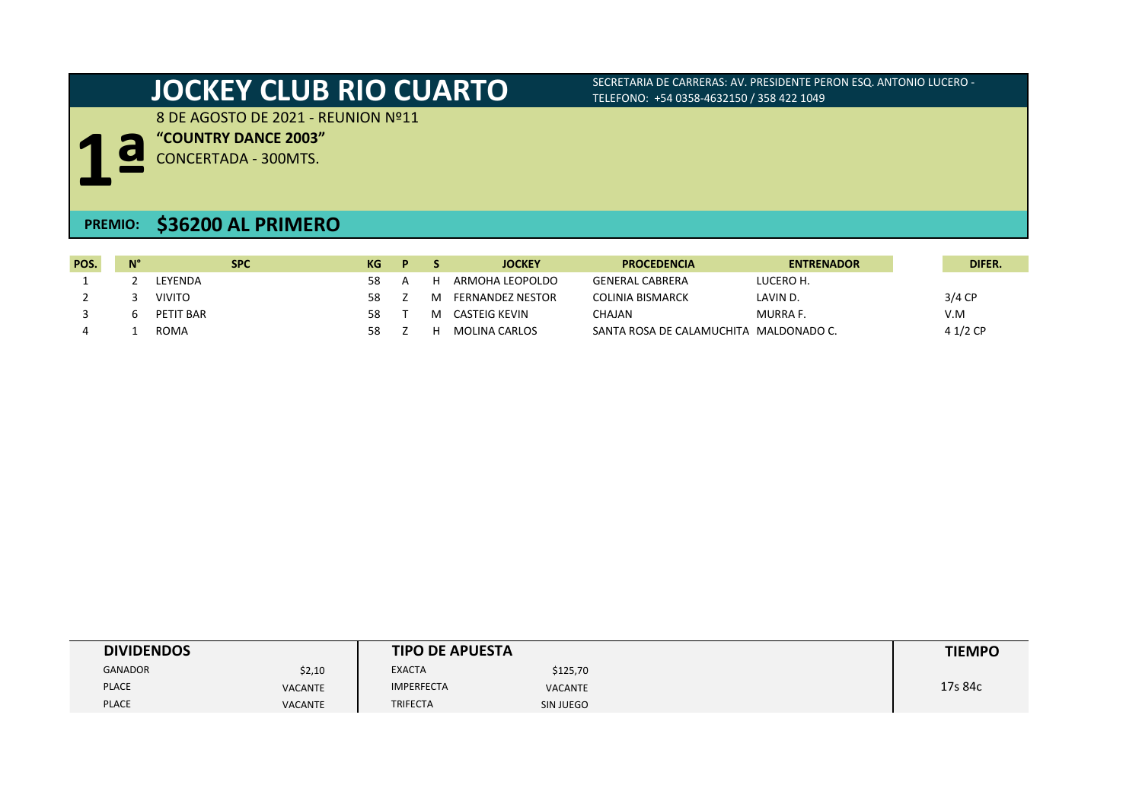# **JOCKEY CLUB RIO CUARTO** SECRETARIA DE CARRERAS: AV. PRESIDENTE PERON ESQ. ANTONIO LUCERO -

TELEFONO: +54 0358-4632150 / 358 422 1049

8 DE AGOSTO DE 2021 - REUNION Nº11

**"COUNTRY DANCE 2003"**

**1ª** CONCERTADA - 300MTS.

## **PREMIO: \$36200 AL PRIMERO**

| POS. | N° | <b>SPC</b>    | KG | D. | <b>JOCKEY</b>           | <b>PROCEDENCIA</b>                     | <b>ENTRENADOR</b> | DIFER.   |
|------|----|---------------|----|----|-------------------------|----------------------------------------|-------------------|----------|
|      |    | LEYENDA       | 58 |    | ARMOHA LEOPOLDO         | GENERAL CABRERA                        | LUCERO H.         |          |
|      |    | <b>VIVITO</b> | 58 |    | <b>FERNANDEZ NESTOR</b> | <b>COLINIA BISMARCK</b>                | LAVIN D.          | $3/4$ CP |
|      |    | PETIT BAR     | 58 |    | CASTEIG KEVIN           | <b>CHAJAN</b>                          | <b>MURRA F.</b>   | V.M      |
|      |    | <b>ROMA</b>   | 58 |    | MOLINA CARLOS           | SANTA ROSA DE CALAMUCHITA MALDONADO C. |                   | 4 1/2 CP |

| <b>DIVIDENDOS</b> |                | <b>TIPO DE APUESTA</b> |                | <b>TIEMPO</b> |
|-------------------|----------------|------------------------|----------------|---------------|
| <b>GANADOR</b>    | \$2,10         | <b>EXACTA</b>          | \$125,70       |               |
| <b>PLACE</b>      | <b>VACANTE</b> | <b>IMPERFECTA</b>      | <b>VACANTE</b> | 17s 84c       |
| <b>PLACE</b>      | <b>VACANTE</b> | <b>TRIFECTA</b>        | SIN JUEGO      |               |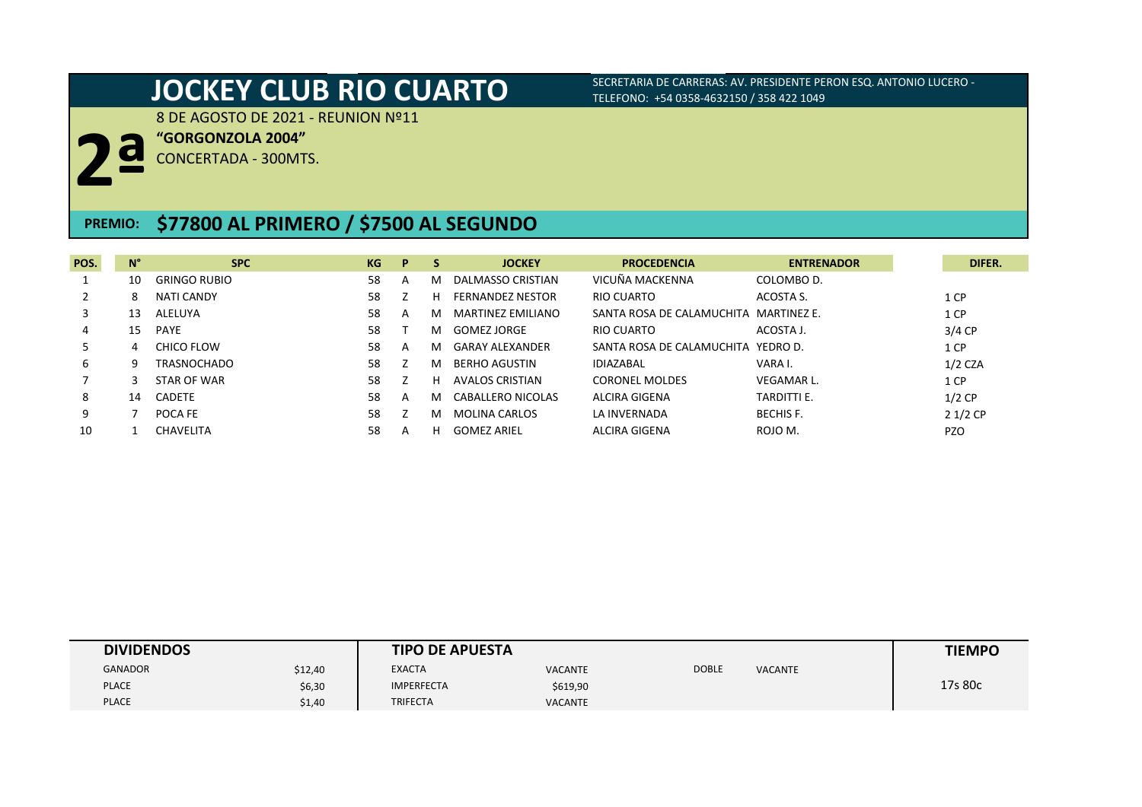8 DE AGOSTO DE 2021 - REUNION Nº11

**"GORGONZOLA 2004"**

**2ª** CONCERTADA - 300MTS.

## **PREMIO: \$77800 AL PRIMERO / \$7500 AL SEGUNDO**

| POS. | $N^{\circ}$ | <b>SPC</b>          | KG | P | S | <b>JOCKEY</b>                            | <b>PROCEDENCIA</b><br><b>ENTRENADOR</b>    |            | DIFER. |
|------|-------------|---------------------|----|---|---|------------------------------------------|--------------------------------------------|------------|--------|
|      | 10          | <b>GRINGO RUBIO</b> | 58 | A | м | DALMASSO CRISTIAN                        | VICUÑA MACKENNA<br>COLOMBO D.              |            |        |
|      | 8           | <b>NATI CANDY</b>   | 58 |   | н | RIO CUARTO<br><b>FERNANDEZ NESTOR</b>    | ACOSTA S.                                  | 1 CP       |        |
| 3    | 13          | ALELUYA             | 58 | A | м | MARTINEZ EMILIANO                        | SANTA ROSA DE CALAMUCHITA MARTINEZ E.      | 1 CP       |        |
| 4    | 15          | <b>PAYE</b>         | 58 |   | м | RIO CUARTO<br>GOMEZ JORGE                | ACOSTA J.                                  | $3/4$ CP   |        |
| 5.   | 4           | CHICO FLOW          | 58 | A | м | <b>GARAY ALEXANDER</b>                   | SANTA ROSA DE CALAMUCHITA YEDRO D.         | 1 CP       |        |
| 6    | q           | <b>TRASNOCHADO</b>  | 58 |   | м | <b>IDIAZABAL</b><br><b>BERHO AGUSTIN</b> | VARA I.                                    | $1/2$ CZA  |        |
|      |             | STAR OF WAR         | 58 |   | н | AVALOS CRISTIAN                          | <b>CORONEL MOLDES</b><br><b>VEGAMAR L.</b> | 1 CP       |        |
| 8    | 14          | <b>CADETE</b>       | 58 | A | м | ALCIRA GIGENA<br>CABALLERO NICOLAS       | <b>TARDITTI E.</b>                         | $1/2$ CP   |        |
| 9    |             | POCA FE             | 58 |   | м | <b>MOLINA CARLOS</b><br>LA INVERNADA     | <b>BECHIS F.</b>                           | $21/2$ CP  |        |
| 10   |             | <b>CHAVELITA</b>    | 58 | A | н | ALCIRA GIGENA<br><b>GOMEZ ARIEL</b>      | ROJO M.                                    | <b>PZO</b> |        |

| <b>DIVIDENDOS</b> |         | <b>TIPO DE APUESTA</b> |                |       |                | <b>TIEMPO</b> |
|-------------------|---------|------------------------|----------------|-------|----------------|---------------|
| <b>GANADOR</b>    | \$12,40 | <b>EXACTA</b>          | <b>VACANTE</b> | DOBLE | <b>VACANTE</b> |               |
| <b>PLACE</b>      | \$6,30  | <b>IMPERFECTA</b>      | \$619,90       |       |                | 17s 80c       |
| <b>PLACE</b>      | \$1,40  | <b>TRIFECTA</b>        | <b>VACANTE</b> |       |                |               |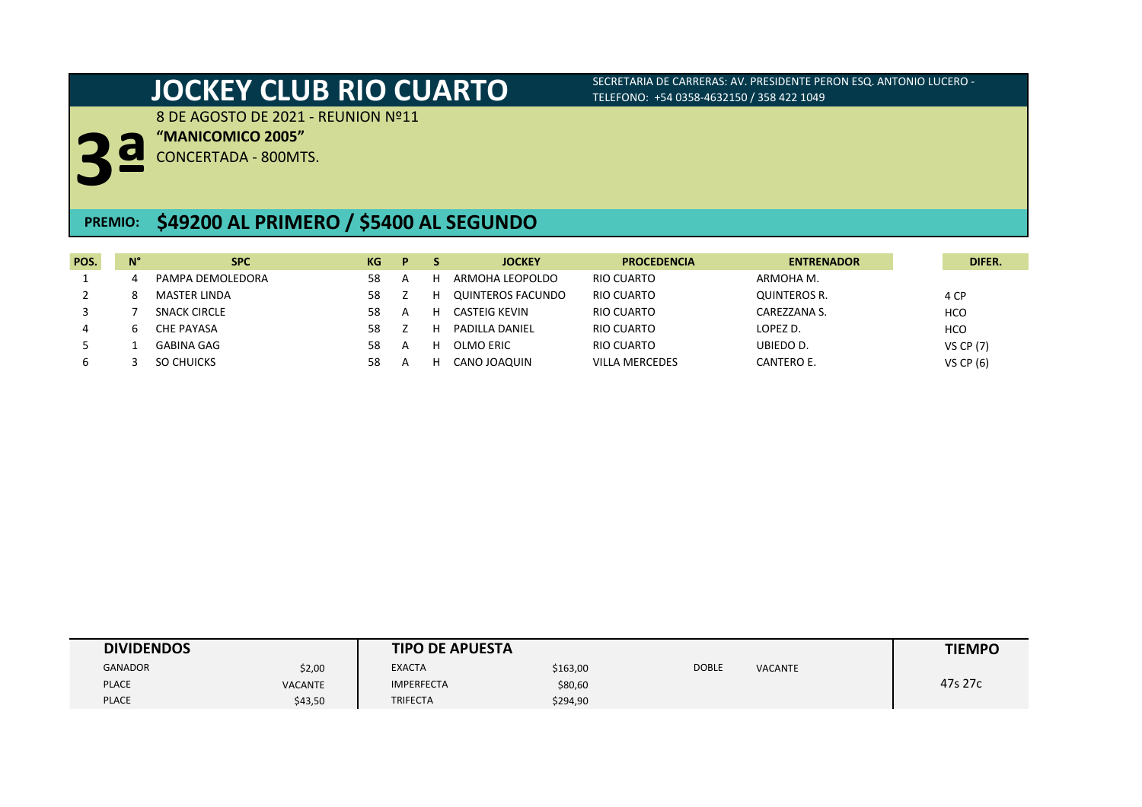8 DE AGOSTO DE 2021 - REUNION Nº11

**"MANICOMICO 2005"**

**3ª** CONCERTADA - 800MTS.

## **PREMIO: \$49200 AL PRIMERO / \$5400 AL SEGUNDO**

| POS. | N° | <b>SPC</b>          | KG | D              | <b>JOCKEY</b>     | <b>PROCEDENCIA</b>    | <b>ENTRENADOR</b> | DIFER.           |
|------|----|---------------------|----|----------------|-------------------|-----------------------|-------------------|------------------|
|      |    | PAMPA DEMOLEDORA    | 58 |                | ARMOHA LEOPOLDO   | RIO CUARTO            | ARMOHA M.         |                  |
|      |    | <b>MASTER LINDA</b> | 58 |                | QUINTEROS FACUNDO | RIO CUARTO            | QUINTEROS R.      | 4 CP             |
|      |    | <b>SNACK CIRCLE</b> | 58 | $\overline{A}$ | CASTEIG KEVIN     | RIO CUARTO            | CAREZZANA S.      | <b>HCO</b>       |
| 4    |    | CHE PAYASA          | 58 |                | PADILLA DANIEL    | RIO CUARTO            | LOPEZ D.          | <b>HCO</b>       |
|      |    | GABINA GAG          | 58 |                | OLMO ERIC         | RIO CUARTO            | UBIEDO D.         | <b>VS CP (7)</b> |
|      |    | SO CHUICKS          | 58 |                | CANO JOAQUIN      | <b>VILLA MERCEDES</b> | CANTERO E.        | <b>VS CP (6)</b> |

| <b>DIVIDENDOS</b> |                | <b>TIPO DE APUESTA</b> |          |              |                | <b>TIEMPO</b> |
|-------------------|----------------|------------------------|----------|--------------|----------------|---------------|
| <b>GANADOR</b>    | \$2,00         | <b>EXACTA</b>          | \$163,00 | <b>DOBLE</b> | <b>VACANTE</b> |               |
| <b>PLACE</b>      | <b>VACANTE</b> | <b>IMPERFECTA</b>      | \$80,60  |              |                | 47s 27c       |
| <b>PLACE</b>      | \$43,50        | <b>TRIFECTA</b>        | \$294,90 |              |                |               |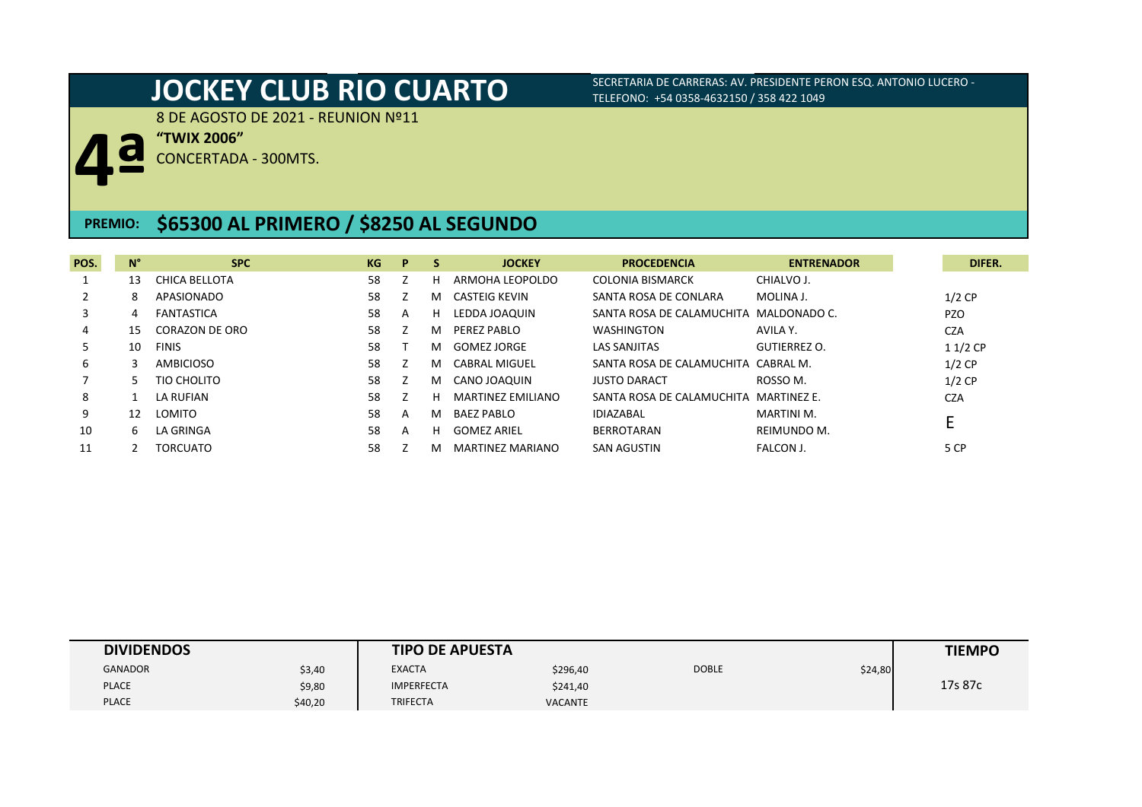8 DE AGOSTO DE 2021 - REUNION Nº11

**4ª "TWIX 2006"**

CONCERTADA - 300MTS.

## **PREMIO: \$65300 AL PRIMERO / \$8250 AL SEGUNDO**

| POS. | $N^{\circ}$ | <b>SPC</b>      | KG | P | -S | <b>JOCKEY</b>                         | <b>PROCEDENCIA</b>                     | <b>ENTRENADOR</b>   | DIFER.     |
|------|-------------|-----------------|----|---|----|---------------------------------------|----------------------------------------|---------------------|------------|
|      | 13          | CHICA BELLOTA   | 58 |   | н  | ARMOHA LEOPOLDO                       | <b>COLONIA BISMARCK</b>                | CHIALVO J.          |            |
|      | 8           | APASIONADO      | 58 |   | м  | CASTEIG KEVIN                         | SANTA ROSA DE CONLARA                  | MOLINA J.           | $1/2$ CP   |
| 3    | 4           | FANTASTICA      | 58 | A | н  | LEDDA JOAQUIN                         | SANTA ROSA DE CALAMUCHITA MALDONADO C. |                     | <b>PZO</b> |
| 4    | 15          | CORAZON DE ORO  | 58 |   | м  | PEREZ PABLO                           | <b>WASHINGTON</b>                      | AVILA Y.            | <b>CZA</b> |
| 5    | 10          | <b>FINIS</b>    | 58 |   | м  | GOMEZ JORGE                           | <b>LAS SANJITAS</b>                    | <b>GUTIERREZ O.</b> | $11/2$ CP  |
| 6    |             | AMBICIOSO       | 58 |   | м  | CABRAL MIGUEL                         | SANTA ROSA DE CALAMUCHITA CABRAL M.    |                     | $1/2$ CP   |
|      |             | TIO CHOLITO     | 58 |   | м  | CANO JOAQUIN                          | <b>JUSTO DARACT</b>                    | ROSSO M.            | $1/2$ CP   |
| 8    |             | LA RUFIAN       | 58 |   | н  | <b>MARTINEZ EMILIANO</b>              | SANTA ROSA DE CALAMUCHITA MARTINEZ E.  |                     | <b>CZA</b> |
| 9    | 12          | <b>LOMITO</b>   | 58 | A | м  | <b>BAEZ PABLO</b><br><b>IDIAZABAL</b> |                                        | MARTINI M.          |            |
| 10   | h.          | LA GRINGA       | 58 | A | н  | <b>GOMEZ ARIEL</b>                    | <b>BERROTARAN</b>                      | REIMUNDO M.         |            |
|      |             | <b>TORCUATO</b> | 58 |   | м  | <b>MARTINEZ MARIANO</b>               | <b>SAN AGUSTIN</b>                     | FALCON J.           | 5 CP       |

| <b>DIVIDENDOS</b> |         | <b>TIPO DE APUESTA</b> |                |              |         | <b>TIEMPO</b> |
|-------------------|---------|------------------------|----------------|--------------|---------|---------------|
| <b>GANADOR</b>    | \$3,40  | <b>EXACTA</b>          | \$296,40       | <b>DOBLE</b> | \$24,80 |               |
| <b>PLACE</b>      | \$9,80  | <b>IMPERFECTA</b>      | \$241,40       |              |         | 17s 87c       |
| <b>PLACE</b>      | \$40,20 | <b>TRIFECTA</b>        | <b>VACANTE</b> |              |         |               |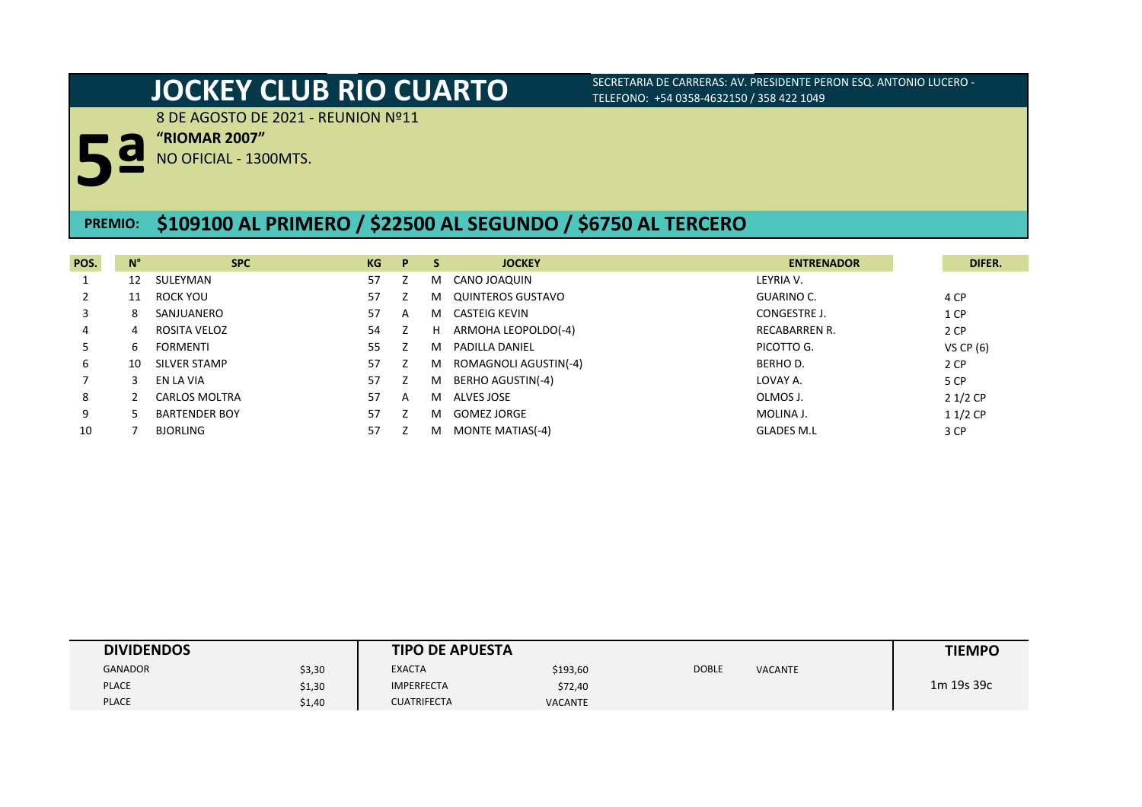8 DE AGOSTO DE 2021 - REUNION Nº11

**"RIOMAR 2007"**

**5ª** NO OFICIAL - 1300MTS.

## **PREMIO: \$109100 AL PRIMERO / \$22500 AL SEGUNDO / \$6750 AL TERCERO**

| POS. | $N^{\circ}$ | <b>SPC</b>           | KG | P. | <b>S</b> | <b>JOCKEY</b>            | <b>ENTRENADOR</b>    | DIFER.      |
|------|-------------|----------------------|----|----|----------|--------------------------|----------------------|-------------|
|      | 12          | SULEYMAN             | 57 |    | м        | CANO JOAQUIN             | LEYRIA V.            |             |
|      | 11          | ROCK YOU             | 57 |    | м        | QUINTEROS GUSTAVO        | GUARINO C.           | 4 CP        |
| 3    | 8           | SANJUANERO           | 57 | A  | м        | CASTEIG KEVIN            | CONGESTRE J.         | 1 CP        |
| 4    | 4           | ROSITA VELOZ         | 54 |    | н        | ARMOHA LEOPOLDO(-4)      | <b>RECABARREN R.</b> | 2 CP        |
| 5    | b           | <b>FORMENTI</b>      | 55 |    | м        | <b>PADILLA DANIEL</b>    | PICOTTO G.           | VS CP $(6)$ |
| 6    | 10          | SILVER STAMP         | 57 |    | M        | ROMAGNOLI AGUSTIN(-4)    | <b>BERHOD.</b>       | 2 CP        |
|      |             | EN LA VIA            | 57 |    | м        | <b>BERHO AGUSTIN(-4)</b> | LOVAY A.             | 5 CP        |
| 8    |             | CARLOS MOLTRA        | 57 | A  | м        | ALVES JOSE               | OLMOS J.             | $21/2$ CP   |
| 9    |             | <b>BARTENDER BOY</b> | 57 |    | м        | <b>GOMEZ JORGE</b>       | MOLINA J.            | $11/2$ CP   |
| 10   |             | <b>BJORLING</b>      | 57 |    | M        | <b>MONTE MATIAS(-4)</b>  | <b>GLADES M.L</b>    | 3 CP        |

| <b>DIVIDENDOS</b> |        | <b>TIPO DE APUESTA</b> |                |              |                | <b>TIEMPO</b> |
|-------------------|--------|------------------------|----------------|--------------|----------------|---------------|
| GANADOR           | \$3,30 | <b>EXACTA</b>          | \$193,60       | <b>DOBLE</b> | <b>VACANTE</b> |               |
| <b>PLACE</b>      | \$1,30 | <b>IMPERFECTA</b>      | \$72,40        |              |                | 1m 19s 39c    |
| <b>PLACE</b>      | \$1,40 | <b>CUATRIFECTA</b>     | <b>VACANTE</b> |              |                |               |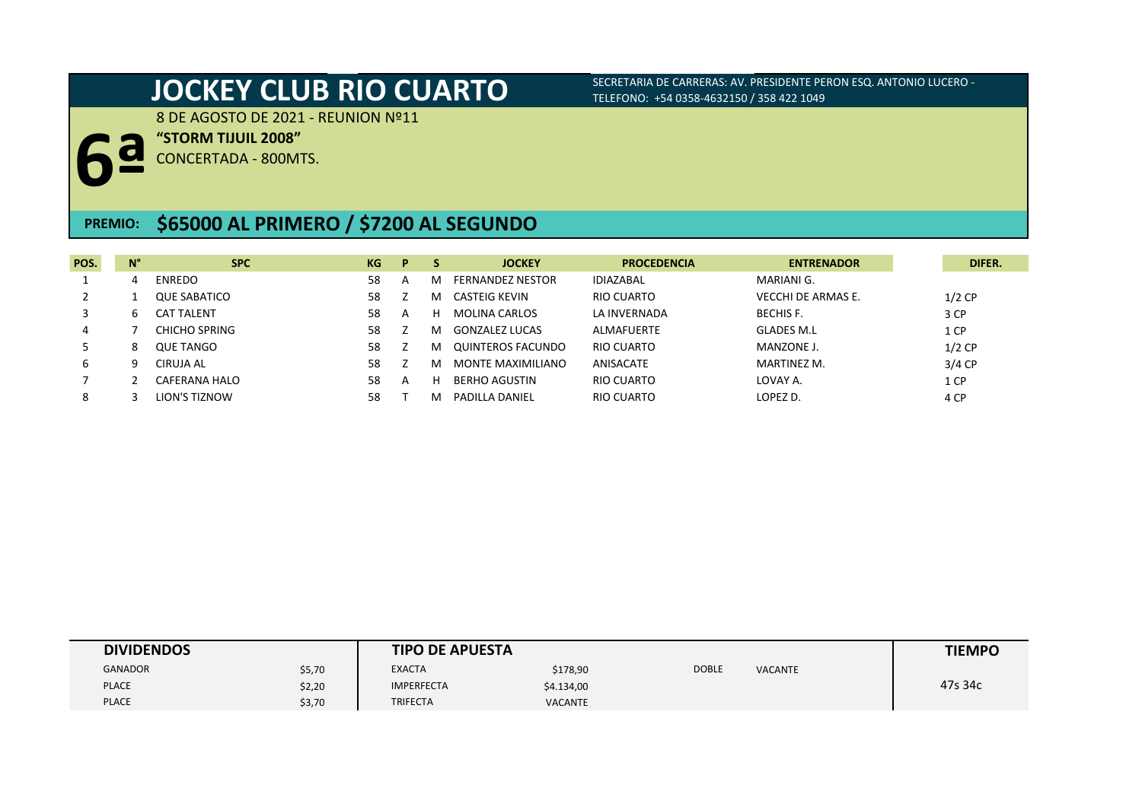8 DE AGOSTO DE 2021 - REUNION Nº11

**"STORM TIJUIL 2008"**

**6ª** CONCERTADA - 800MTS.

## **PREMIO: \$65000 AL PRIMERO / \$7200 AL SEGUNDO**

| POS. | $N^{\circ}$ | <b>SPC</b>           | KG | P |   | <b>JOCKEY</b>         | <b>PROCEDENCIA</b> | <b>ENTRENADOR</b>  | DIFER.   |
|------|-------------|----------------------|----|---|---|-----------------------|--------------------|--------------------|----------|
|      |             | <b>ENREDO</b>        | 58 | A | м | FERNANDEZ NESTOR      | <b>IDIAZABAL</b>   | MARIANI G.         |          |
|      |             | <b>QUE SABATICO</b>  | 58 |   | м | CASTEIG KEVIN         | RIO CUARTO         | VECCHI DE ARMAS E. | $1/2$ CP |
|      | h           | <b>CAT TALENT</b>    | 58 | A |   | <b>MOLINA CARLOS</b>  | LA INVERNADA       | <b>BECHIS F.</b>   | 3 CP     |
|      |             | CHICHO SPRING        | 58 |   | м | <b>GONZALEZ LUCAS</b> | ALMAFUERTE         | <b>GLADES M.L</b>  | 1 CP     |
|      |             | <b>QUE TANGO</b>     | 58 |   | м | QUINTEROS FACUNDO     | RIO CUARTO         | MANZONE J.         | $1/2$ CP |
| 6    |             | CIRUJA AL            | 58 |   | м | MONTE MAXIMILIANO     | ANISACATE          | MARTINEZ M.        | 3/4 CP   |
|      |             | <b>CAFERANA HALO</b> | 58 | A |   | <b>BERHO AGUSTIN</b>  | RIO CUARTO         | LOVAY A.           | 1 CP     |
| 8    |             | LION'S TIZNOW        | 58 |   |   | PADILLA DANIFI        | RIO CUARTO         | LOPEZ D.           | 4 CP     |

| <b>DIVIDENDOS</b> |        | <b>TIPO DE APUESTA</b> |                |              |                | <b>TIEMPO</b> |
|-------------------|--------|------------------------|----------------|--------------|----------------|---------------|
| <b>GANADOR</b>    | \$5,70 | <b>EXACTA</b>          | \$178,90       | <b>DOBLE</b> | <b>VACANTE</b> |               |
| <b>PLACE</b>      | \$2,20 | <b>IMPERFECTA</b>      | \$4.134,00     |              |                | 47s 34c       |
| <b>PLACE</b>      | \$3,70 | <b>TRIFECTA</b>        | <b>VACANTE</b> |              |                |               |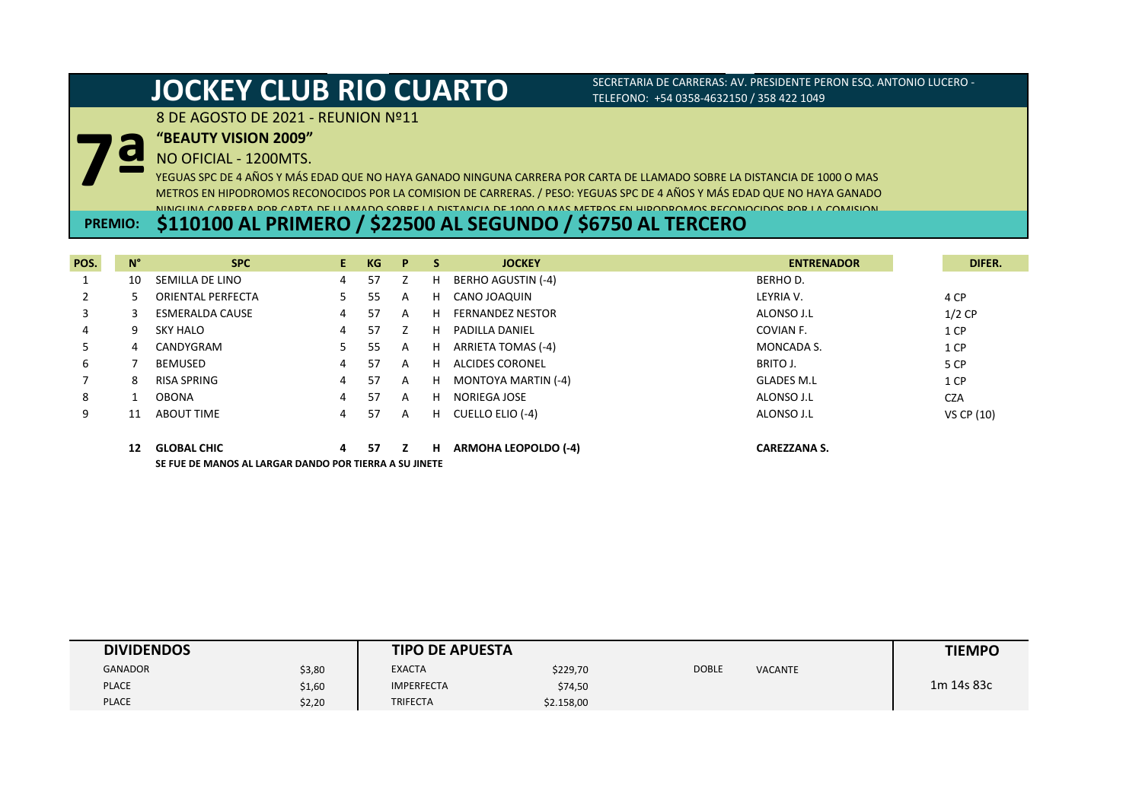### 8 DE AGOSTO DE 2021 - REUNION Nº11

**"BEAUTY VISION 2009"**

### NO OFICIAL - 1200MTS.

**7ª** YEGUAS SPC DE 4 AÑOS Y MÁS EDAD QUE NO HAYA GANADO NINGUNA CARRERA POR CARTA DE LLAMADO SOBRE LA DISTANCIA DE 1000 O MAS METROS EN HIPODROMOS RECONOCIDOS POR LA COMISION DE CARRERAS. / PESO: YEGUAS SPC DE 4 AÑOS Y MÁS EDAD QUE NO HAYA GANADO NINGUNA CARRERA POR CARTA DE LLAMADO SOBRE LA DISTANCIA DE 1000 O MAS METROS EN HIPODROMOS RECONOCIDOS POR LA COMISION

## **PREMIO: \$110100 AL PRIMERO / \$22500 AL SEGUNDO / \$6750 AL TERCERO**

| POS. | $N^{\circ}$ | <b>SPC</b>                                             | E. | <b>KG</b> | P | -S | <b>JOCKEY</b>               | <b>ENTRENADOR</b>   | DIFER.     |
|------|-------------|--------------------------------------------------------|----|-----------|---|----|-----------------------------|---------------------|------------|
|      | 10          | SEMILLA DE LINO                                        | 4  | 57        | Z | H  | BERHO AGUSTIN (-4)          | BERHO D.            |            |
| 2    |             | <b>ORIENTAL PERFECTA</b>                               | 5. | 55        | A | H. | CANO JOAQUIN                | LEYRIA V.           | 4 CP       |
| 3    |             | <b>ESMERALDA CAUSE</b>                                 | 4  | 57        | A | н  | <b>FERNANDEZ NESTOR</b>     | ALONSO J.L          | $1/2$ CP   |
| 4    | 9           | <b>SKY HALO</b>                                        | 4  | 57        | Z | H  | <b>PADILLA DANIEL</b>       | COVIAN F.           | 1 CP       |
| 5.   | 4           | CANDYGRAM                                              |    | 55        | A | H  | ARRIETA TOMAS (-4)          | MONCADA S.          | 1 CP       |
| 6    |             | <b>BEMUSED</b>                                         | 4  | 57        | A | H  | ALCIDES CORONEL             | BRITO J.            | 5 CP       |
|      |             | <b>RISA SPRING</b>                                     | 4  | 57        | A | H  | MONTOYA MARTIN (-4)         | <b>GLADES M.L</b>   | 1 CP       |
| 8    |             | <b>OBONA</b>                                           | 4  | 57        | A | н  | NORIEGA JOSE                | ALONSO J.L          | <b>CZA</b> |
| 9    | 11          | <b>ABOUT TIME</b>                                      | 4  | 57        | A | H  | CUELLO ELIO (-4)            | ALONSO J.L          | VS CP (10) |
|      | 12          | <b>GLOBAL CHIC</b>                                     | 4  | 57        | z | н  | <b>ARMOHA LEOPOLDO (-4)</b> | <b>CAREZZANA S.</b> |            |
|      |             | SE FUE DE MANOS AL LARGAR DANDO POR TIERRA A SU JINETE |    |           |   |    |                             |                     |            |

| <b>DIVIDENDOS</b> |        | <b>TIPO DE APUESTA</b> |            |              |                | <b>TIEMPO</b> |
|-------------------|--------|------------------------|------------|--------------|----------------|---------------|
| <b>GANADOR</b>    | \$3,80 | <b>EXACTA</b>          | \$229,70   | <b>DOBLE</b> | <b>VACANTE</b> |               |
| <b>PLACE</b>      | \$1,60 | <b>IMPERFECTA</b>      | \$74,50    |              |                | 1m 14s 83c    |
| <b>PLACE</b>      | \$2,20 | <b>TRIFECTA</b>        | \$2.158,00 |              |                |               |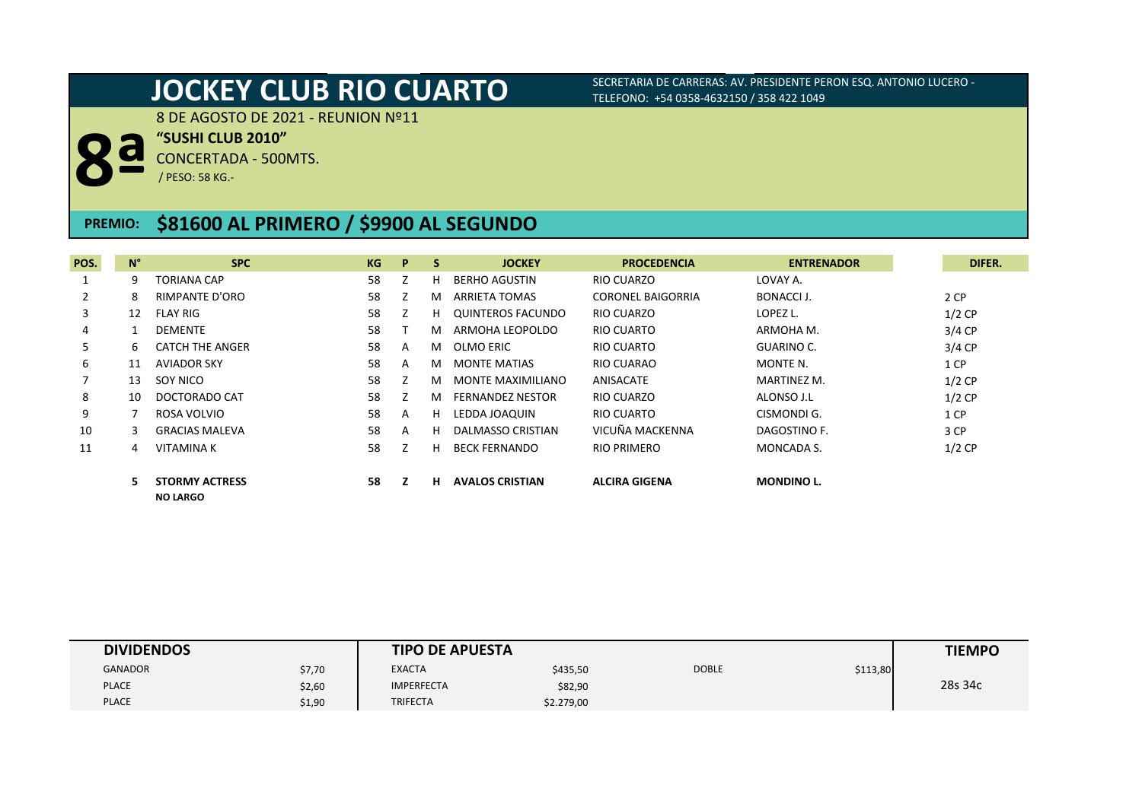8 DE AGOSTO DE 2021 - REUNION Nº11

**"SUSHI CLUB 2010"**

**8ª** CONCERTADA - 500MTS.

/ PESO: 58 KG.-

## **PREMIO: \$81600 AL PRIMERO / \$9900 AL SEGUNDO**

| POS. | $N^{\circ}$ | <b>SPC</b>                               | KG | P | <b>S</b> | <b>JOCKEY</b>           | <b>PROCEDENCIA</b>       | <b>ENTRENADOR</b>  |
|------|-------------|------------------------------------------|----|---|----------|-------------------------|--------------------------|--------------------|
|      | 9           | TORIANA CAP                              | 58 |   | н        | BERHO AGUSTIN           | RIO CUARZO               | LOVAY A.           |
| 2    | 8           | <b>RIMPANTE D'ORO</b>                    | 58 |   | м        | ARRIETA TOMAS           | <b>CORONEL BAIGORRIA</b> | <b>BONACCI J.</b>  |
| 3    | 12          | <b>FLAY RIG</b>                          | 58 |   | н        | QUINTEROS FACUNDO       | RIO CUARZO               | LOPEZ L.           |
| 4    |             | <b>DEMENTE</b>                           | 58 |   | м        | ARMOHA LEOPOLDO         | RIO CUARTO               | ARMOHA M.          |
| 5    | 6.          | <b>CATCH THE ANGER</b>                   | 58 | A | м        | OLMO ERIC               | RIO CUARTO               | <b>GUARINO C.</b>  |
| 6    | 11          | <b>AVIADOR SKY</b>                       | 58 | A | M        | <b>MONTE MATIAS</b>     | RIO CUARAO               | MONTE N.           |
|      | 13          | SOY NICO                                 | 58 |   | м        | MONTE MAXIMILIANO       | ANISACATE                | <b>MARTINEZ M.</b> |
| 8    | 10          | DOCTORADO CAT                            | 58 |   | м        | <b>FERNANDEZ NESTOR</b> | RIO CUARZO               | ALONSO J.L         |
| 9    |             | ROSA VOLVIO                              | 58 | A | н        | LEDDA JOAQUIN           | RIO CUARTO               | CISMONDI G.        |
| 10   | 3.          | <b>GRACIAS MALEVA</b>                    | 58 | A | н        | DALMASSO CRISTIAN       | VICUÑA MACKENNA          | DAGOSTINO F.       |
| 11   | 4           | <b>VITAMINAK</b>                         | 58 |   | н        | <b>BECK FERNANDO</b>    | RIO PRIMERO              | MONCADA S.         |
|      |             | <b>STORMY ACTRESS</b><br><b>NO LARGO</b> | 58 |   | н        | <b>AVALOS CRISTIAN</b>  | <b>ALCIRA GIGENA</b>     | <b>MONDINO L.</b>  |

| <b>DIVIDENDOS</b> |        | <b>TIPO DE APUESTA</b> |            |              |          | <b>TIEMPO</b> |
|-------------------|--------|------------------------|------------|--------------|----------|---------------|
| <b>GANADOR</b>    | \$7,70 | <b>EXACTA</b>          | \$435,50   | <b>DOBLE</b> | \$113,80 |               |
| <b>PLACE</b>      | \$2,60 | <b>IMPERFECTA</b>      | \$82,90    |              |          | 28s 34c       |
| <b>PLACE</b>      | \$1,90 | <b>TRIFECTA</b>        | \$2.279,00 |              |          |               |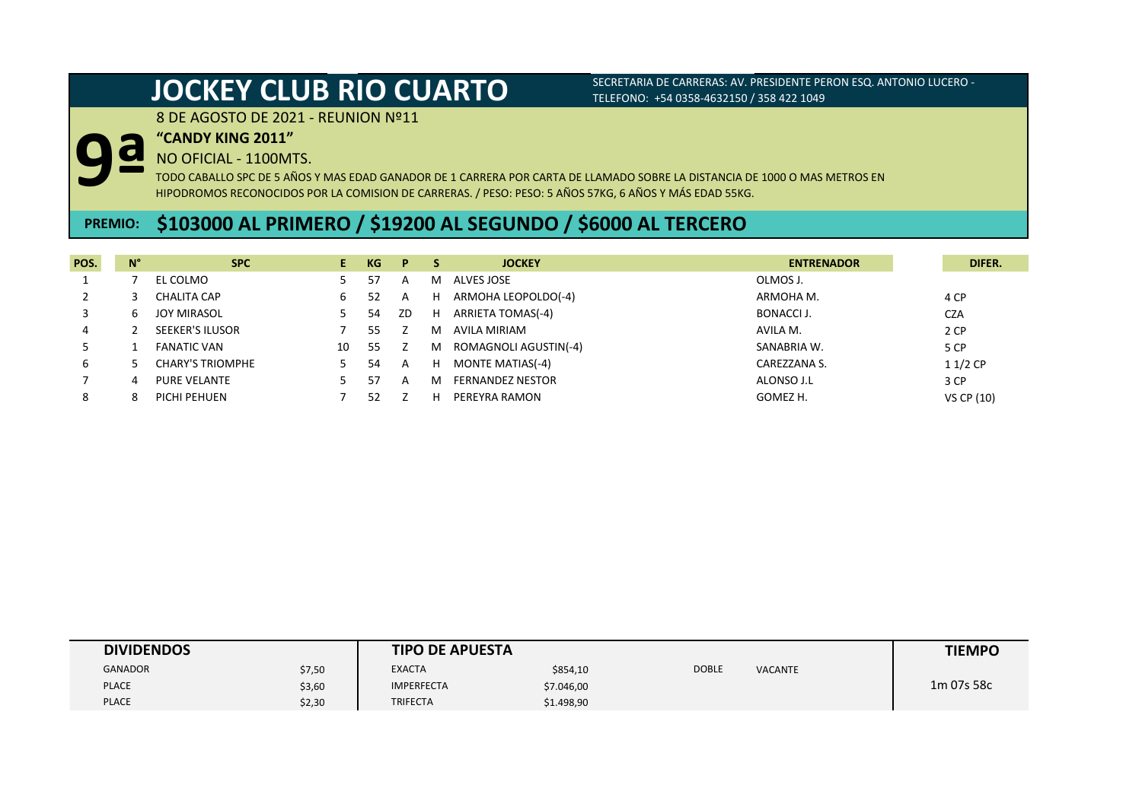8 DE AGOSTO DE 2021 - REUNION Nº11

**"CANDY KING 2011"**

**9ª** NO OFICIAL - 1100MTS.

TODO CABALLO SPC DE 5 AÑOS Y MAS EDAD GANADOR DE 1 CARRERA POR CARTA DE LLAMADO SOBRE LA DISTANCIA DE 1000 O MAS METROS EN HIPODROMOS RECONOCIDOS POR LA COMISION DE CARRERAS. / PESO: PESO: 5 AÑOS 57KG, 6 AÑOS Y MÁS EDAD 55KG.

## **PREMIO: \$103000 AL PRIMERO / \$19200 AL SEGUNDO / \$6000 AL TERCERO**

| POS. | N°           | <b>SPC</b>              | Е. | KG | P              |   | <b>JOCKEY</b>           | <b>ENTRENADOR</b> | DIFER.     |
|------|--------------|-------------------------|----|----|----------------|---|-------------------------|-------------------|------------|
|      |              | EL COLMO                |    | 57 | A              | м | ALVES JOSE              | OLMOS J.          |            |
|      |              | CHALITA CAP             | 6  | 52 | $\overline{A}$ | н | ARMOHA LEOPOLDO(-4)     | ARMOHA M.         | 4 CP       |
|      | <sub>b</sub> | <b>JOY MIRASOL</b>      |    | 54 | ZD             | H | ARRIETA TOMAS(-4)       | <b>BONACCI J.</b> | <b>CZA</b> |
| 4    |              | <b>SEEKER'S ILUSOR</b>  |    | 55 |                | м | AVILA MIRIAM            | AVILA M.          | 2 CP       |
|      |              | <b>FANATIC VAN</b>      | 10 | 55 |                | M | ROMAGNOLI AGUSTIN(-4)   | SANABRIA W.       | 5 CP       |
| b    |              | <b>CHARY'S TRIOMPHE</b> |    | 54 | $\overline{A}$ | H | MONTE MATIAS(-4)        | CAREZZANA S.      | $11/2$ CP  |
|      |              | <b>PURE VELANTE</b>     |    | 57 | A              | м | <b>FERNANDEZ NESTOR</b> | ALONSO J.L        | 3 CP       |
|      |              | PICHI PEHUEN            |    | 52 |                | н | PEREYRA RAMON           | GOMEZ H.          | VS CP (10) |

| <b>DIVIDENDOS</b> |        | <b>TIPO DE APUESTA</b> |            |              |                | <b>TIEMPO</b> |
|-------------------|--------|------------------------|------------|--------------|----------------|---------------|
| <b>GANADOR</b>    | \$7,50 | <b>EXACTA</b>          | \$854,10   | <b>DOBLE</b> | <b>VACANTE</b> |               |
| <b>PLACE</b>      | \$3,60 | <b>IMPERFECTA</b>      | \$7.046,00 |              |                | 1m 07s 58c    |
| <b>PLACE</b>      | \$2,30 | <b>TRIFECTA</b>        | \$1.498,90 |              |                |               |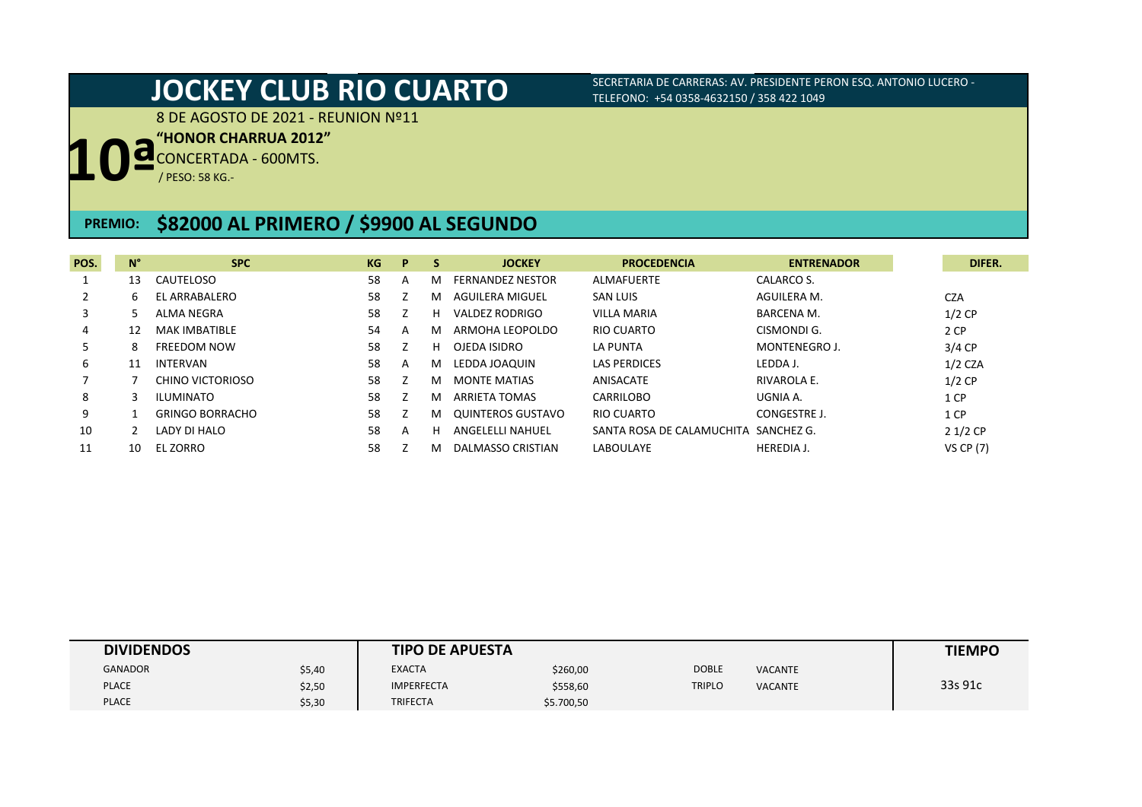8 DE AGOSTO DE 2021 - REUNION Nº11

**"HONOR CHARRUA 2012"**

**10ª** CONCERTADA - 600MTS.

/ PESO: 58 KG.-

## **PREMIO: \$82000 AL PRIMERO / \$9900 AL SEGUNDO**

| POS. | $N^{\circ}$ | <b>SPC</b>             | KG | P | -S | <b>JOCKEY</b>                      | <b>PROCEDENCIA</b>                   | <b>ENTRENADOR</b> | DIFER.           |
|------|-------------|------------------------|----|---|----|------------------------------------|--------------------------------------|-------------------|------------------|
|      | 13          | CAUTELOSO              | 58 | A | м  | <b>FERNANDEZ NESTOR</b>            | ALMAFUERTE                           | CALARCO S.        |                  |
|      | 6           | EL ARRABALERO          | 58 |   | м  | <b>SAN LUIS</b><br>AGUILERA MIGUEL |                                      | AGUILERA M.       | <b>CZA</b>       |
| 3    |             | ALMA NEGRA             | 58 |   | н  | VALDEZ RODRIGO                     | <b>VILLA MARIA</b>                   | <b>BARCENA M.</b> | $1/2$ CP         |
| 4    | 12          | <b>MAK IMBATIBLE</b>   | 54 | A | м  | ARMOHA LEOPOLDO                    | RIO CUARTO                           | CISMONDI G.       | 2 CP             |
| ь    | 8           | <b>FREEDOM NOW</b>     | 58 |   | н  | OJEDA ISIDRO<br><b>LA PUNTA</b>    |                                      | MONTENEGROJ.      | $3/4$ CP         |
| 6    | 11          | <b>INTERVAN</b>        | 58 | A | м  | LEDDA JOAQUIN                      | <b>LAS PERDICES</b>                  | LEDDA J.          | $1/2$ CZA        |
|      |             | CHINO VICTORIOSO       | 58 |   | м  | <b>MONTE MATIAS</b>                | ANISACATE                            | RIVAROLA E.       | $1/2$ CP         |
| 8    |             | ILUMINATO              | 58 |   | м  | <b>ARRIETA TOMAS</b>               | <b>CARRILOBO</b>                     | UGNIA A.          | 1 CP             |
| 9    |             | <b>GRINGO BORRACHO</b> | 58 |   | м  | QUINTEROS GUSTAVO                  | RIO CUARTO                           | CONGESTRE J.      | 1 CP             |
| 10   |             | LADY DI HALO           | 58 | A | н  | ANGELELLI NAHUEL                   | SANTA ROSA DE CALAMUCHITA SANCHEZ G. |                   | $21/2$ CP        |
|      | 10          | <b>EL ZORRO</b>        | 58 |   | м  | DALMASSO CRISTIAN                  | LABOULAYE                            | <b>HEREDIA J.</b> | <b>VS CP (7)</b> |

| <b>DIVIDENDOS</b> |        | <b>TIPO DE APUESTA</b> |            |               |                | <b>TIEMPO</b> |
|-------------------|--------|------------------------|------------|---------------|----------------|---------------|
| <b>GANADOR</b>    | \$5,40 | <b>EXACTA</b>          | \$260,00   | <b>DOBLE</b>  | <b>VACANTE</b> |               |
| <b>PLACE</b>      | \$2,50 | <b>IMPERFECTA</b>      | \$558,60   | <b>TRIPLO</b> | <b>VACANTE</b> | 33s 91c       |
| <b>PLACE</b>      | \$5,30 | <b>TRIFECTA</b>        | \$5.700,50 |               |                |               |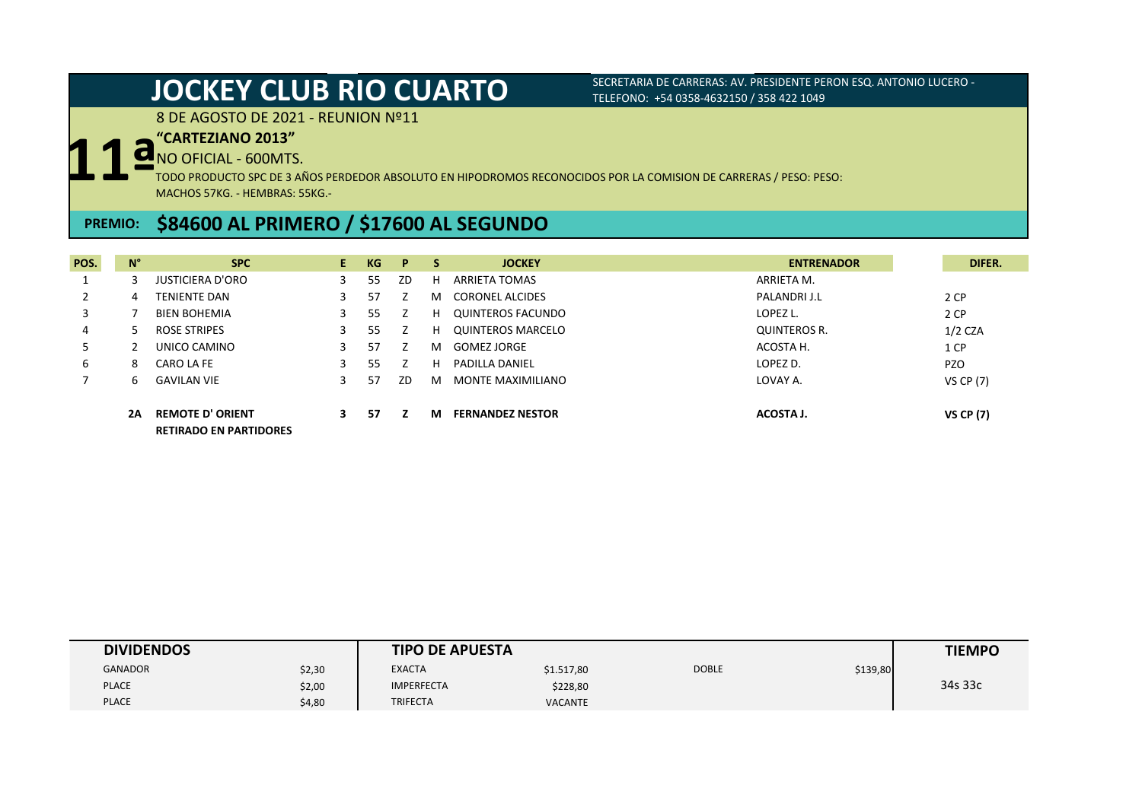8 DE AGOSTO DE 2021 - REUNION Nº11

### **"CARTEZIANO 2013"**

NO OFICIAL - 600MTS.

**11ª** TODO PRODUCTO SPC DE 3 AÑOS PERDEDOR ABSOLUTO EN HIPODROMOS RECONOCIDOS POR LA COMISION DE CARRERAS / PESO: PESO: MACHOS 57KG. - HEMBRAS: 55KG.-

## **PREMIO: \$84600 AL PRIMERO / \$17600 AL SEGUNDO**

| POS. | $N^{\circ}$ | <b>SPC</b>                                               | E. | KG | P  | S. | <b>JOCKEY</b>            | <b>ENTRENADOR</b> | DIFER.           |
|------|-------------|----------------------------------------------------------|----|----|----|----|--------------------------|-------------------|------------------|
|      |             | <b>JUSTICIERA D'ORO</b>                                  | 3  | 55 | ZD | н  | ARRIETA TOMAS            | ARRIETA M.        |                  |
|      | 4           | <b>TENIENTE DAN</b>                                      | 3  | 57 |    | м  | <b>CORONEL ALCIDES</b>   | PALANDRI J.L      | 2 CP             |
|      |             | <b>BIEN BOHEMIA</b>                                      | 3  | 55 |    | н  | QUINTEROS FACUNDO        | LOPEZ L.          | 2 CP             |
| 4    | 5.          | ROSE STRIPES                                             | 3  | 55 |    | н  | <b>QUINTEROS MARCELO</b> | QUINTEROS R.      | $1/2$ CZA        |
|      |             | UNICO CAMINO                                             |    | 57 |    | м  | <b>GOMEZ JORGE</b>       | ACOSTA H.         | 1 CP             |
| 6    | 8           | CARO LA FE                                               | 3  | 55 |    | н  | <b>PADILLA DANIEL</b>    | LOPEZ D.          | <b>PZO</b>       |
|      | h           | <b>GAVILAN VIE</b>                                       | 3  | 57 | ZD | м  | MONTE MAXIMILIANO        | LOVAY A.          | <b>VS CP (7)</b> |
|      | 2A          | <b>REMOTE D' ORIENT</b><br><b>RETIRADO EN PARTIDORES</b> | З. | 57 |    | м  | <b>FERNANDEZ NESTOR</b>  | ACOSTA J.         | <b>VS CP (7)</b> |

| <b>DIVIDENDOS</b> |        | <b>TIPO DE APUESTA</b> |                |              |          | <b>TIEMPO</b> |
|-------------------|--------|------------------------|----------------|--------------|----------|---------------|
| <b>GANADOR</b>    | \$2,30 | <b>EXACTA</b>          | \$1.517,80     | <b>DOBLE</b> | \$139,80 |               |
| <b>PLACE</b>      | \$2,00 | <b>IMPERFECTA</b>      | \$228,80       |              |          | 34s 33c       |
| <b>PLACE</b>      | \$4,80 | <b>TRIFECTA</b>        | <b>VACANTE</b> |              |          |               |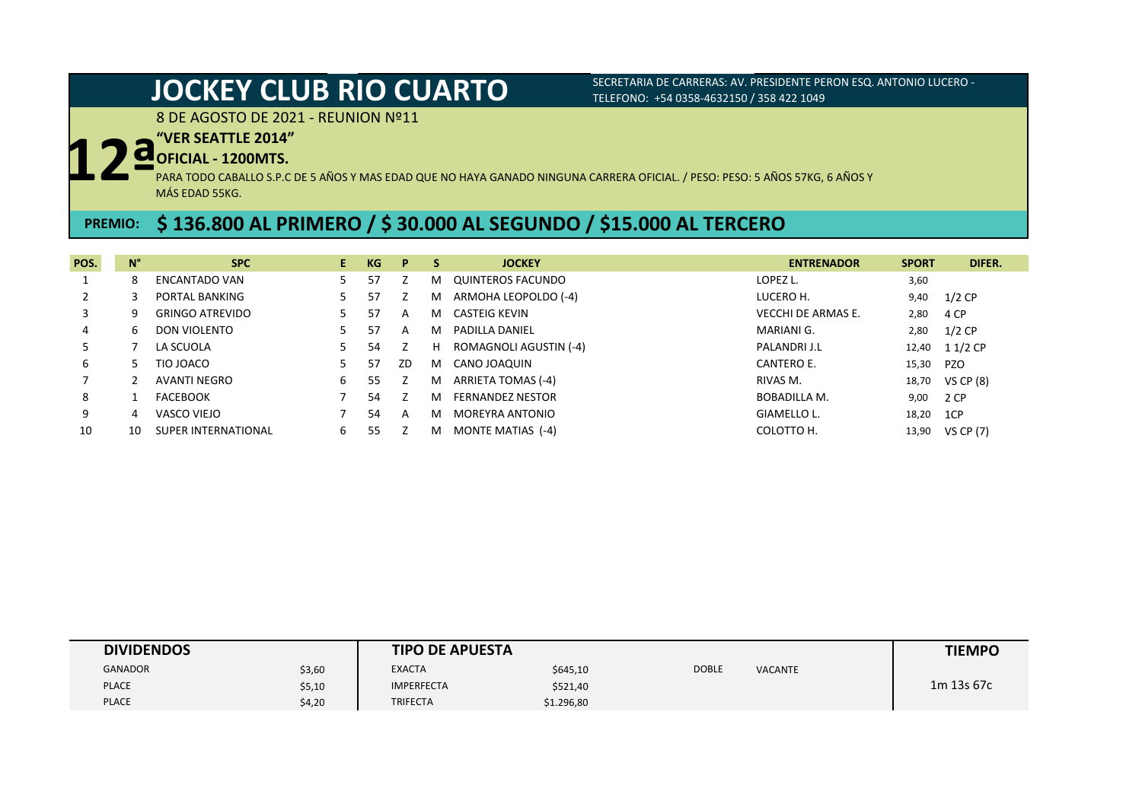8 DE AGOSTO DE 2021 - REUNION Nº11

### **"VER SEATTLE 2014"**

## **OFICIAL - 1200MTS.**

**12ª** PARA TODO CABALLO S.P.C DE 5 AÑOS Y MAS EDAD QUE NO HAYA GANADO NINGUNA CARRERA OFICIAL. / PESO: PESO: 5 AÑOS 57KG, 6 AÑOS Y MÁS EDAD 55KG.

## **PREMIO: \$ 136.800 AL PRIMERO / \$ 30.000 AL SEGUNDO / \$15.000 AL TERCERO**

| POS. | $N^{\circ}$ | <b>SPC</b>             | E. | KG  | P. | S  | <b>JOCKEY</b>           | <b>ENTRENADOR</b>         | <b>SPORT</b> | DIFER.          |
|------|-------------|------------------------|----|-----|----|----|-------------------------|---------------------------|--------------|-----------------|
|      |             | <b>ENCANTADO VAN</b>   |    | 57  |    | м  | QUINTEROS FACUNDO       | LOPEZ L.                  | 3,60         |                 |
|      |             | PORTAL BANKING         |    | 57  |    | M  | ARMOHA LEOPOLDO (-4)    | LUCERO H.                 | 9,40         | $1/2$ CP        |
| 3    |             | <b>GRINGO ATREVIDO</b> |    | 57  | A  | M  | CASTEIG KEVIN           | <b>VECCHI DE ARMAS E.</b> | 2,80         | 4 CP            |
| 4    | h           | DON VIOLENTO           |    | 57  | A  | м  | PADILLA DANIEL          | MARIANI G.                | 2,80         | $1/2$ CP        |
| 5.   |             | LA SCUOLA              |    | 54  |    | H. | ROMAGNOLI AGUSTIN (-4)  | PALANDRI J.L              | 12,40        | 1 1/2 CP        |
| 6    |             | TIO JOACO              |    | 57  | ZD | M  | CANO JOAQUIN            | CANTERO E.                | 15,30        | <b>PZO</b>      |
|      |             | AVANTI NEGRO           | 6  | 55  |    | м  | ARRIETA TOMAS (-4)      | RIVAS M.                  |              | 18,70 VS CP (8) |
| 8    |             | <b>FACEBOOK</b>        |    | 54  |    | м  | <b>FERNANDEZ NESTOR</b> | BOBADILLA M.              | 9,00         | 2 CP            |
| 9    | 4           | VASCO VIEJO            |    | 54  | A  | м  | MOREYRA ANTONIO         | GIAMELLO L.               | 18,20        | 1CP             |
| 10   | 10          | SUPER INTERNATIONAL    | b  | 55. |    | м  | MONTE MATIAS (-4)       | COLOTTO H.                |              | 13,90 VS CP (7) |

| <b>DIVIDENDOS</b> |        | <b>TIPO DE APUESTA</b> |            |              |                | <b>TIEMPO</b> |
|-------------------|--------|------------------------|------------|--------------|----------------|---------------|
| <b>GANADOR</b>    | \$3,60 | <b>EXACTA</b>          | \$645,10   | <b>DOBLE</b> | <b>VACANTE</b> |               |
| <b>PLACE</b>      | \$5,10 | <b>IMPERFECTA</b>      | \$521,40   |              |                | 1m 13s 67c    |
| <b>PLACE</b>      | \$4,20 | <b>TRIFECTA</b>        | \$1.296,80 |              |                |               |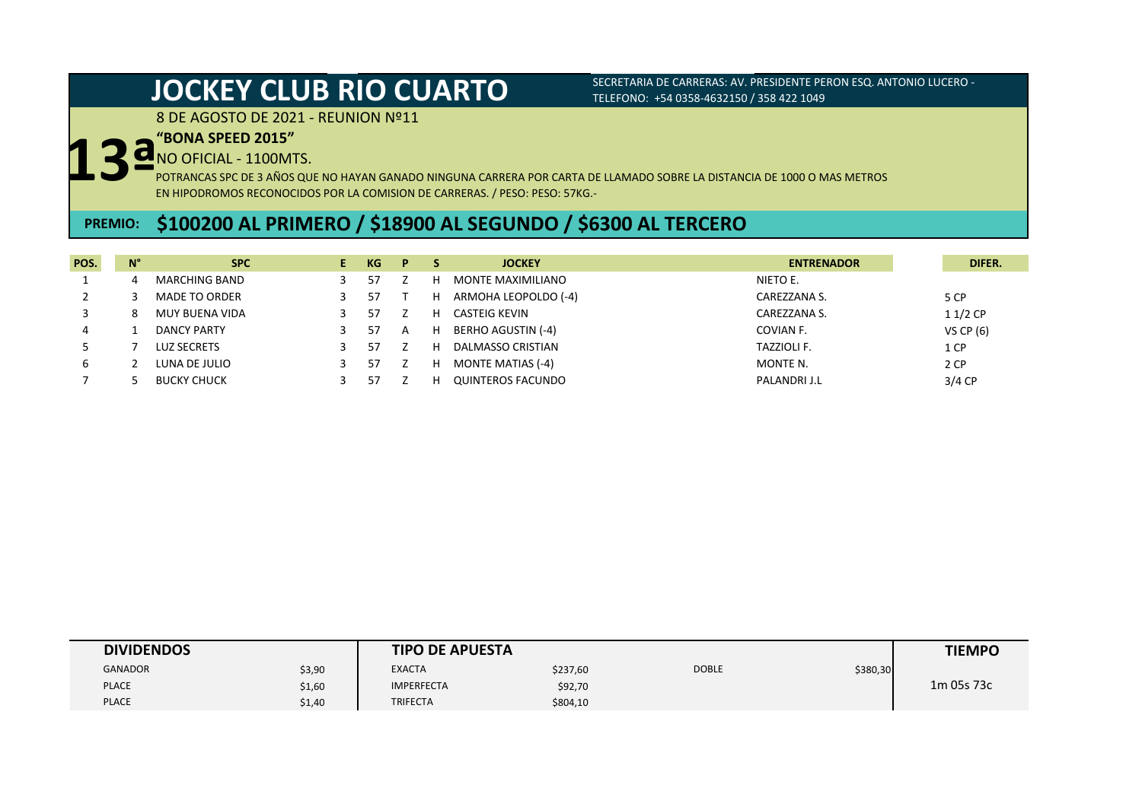8 DE AGOSTO DE 2021 - REUNION Nº11

### **"BONA SPEED 2015"**

# **13ª** NO OFICIAL - 1100MTS.

POTRANCAS SPC DE 3 AÑOS QUE NO HAYAN GANADO NINGUNA CARRERA POR CARTA DE LLAMADO SOBRE LA DISTANCIA DE 1000 O MAS METROS EN HIPODROMOS RECONOCIDOS POR LA COMISION DE CARRERAS. / PESO: PESO: 57KG.-

## **PREMIO: \$100200 AL PRIMERO / \$18900 AL SEGUNDO / \$6300 AL TERCERO**

| POS. | N° | <b>SPC</b>            | KG | P. |   | <b>JOCKEY</b>            | <b>ENTRENADOR</b> | DIFER.      |
|------|----|-----------------------|----|----|---|--------------------------|-------------------|-------------|
|      |    | MARCHING BAND         |    |    | н | MONTE MAXIMILIANO        | NIETO E.          |             |
|      |    | <b>MADE TO ORDER</b>  |    |    | н | ARMOHA LEOPOLDO (-4)     | CAREZZANA S.      | 5 CP        |
|      |    | <b>MUY BUENA VIDA</b> |    |    | н | CASTEIG KEVIN            | CAREZZANA S.      | $11/2$ CP   |
| 4    |    | DANCY PARTY           |    | A  | н | BERHO AGUSTIN (-4)       | COVIAN F.         | VS CP $(6)$ |
|      |    | <b>LUZ SECRETS</b>    |    |    | н | <b>DALMASSO CRISTIAN</b> | TAZZIOLI F.       | 1 CP        |
|      |    | LUNA DE JULIO         | 57 |    | н | <b>MONTE MATIAS (-4)</b> | MONTE N.          | 2 CP        |
|      |    | <b>BUCKY CHUCK</b>    |    |    |   | QUINTEROS FACUNDO        | PALANDRI J.L      | $3/4$ CP    |

| <b>DIVIDENDOS</b> |        | <b>TIPO DE APUESTA</b> |          |              |          | <b>TIEMPO</b> |
|-------------------|--------|------------------------|----------|--------------|----------|---------------|
| <b>GANADOR</b>    | \$3,90 | <b>EXACTA</b>          | \$237,60 | <b>DOBLE</b> | \$380,30 |               |
| <b>PLACE</b>      | \$1,60 | <b>IMPERFECTA</b>      | \$92,70  |              |          | 1m 05s 73c    |
| <b>PLACE</b>      | \$1,40 | <b>TRIFECTA</b>        | \$804,10 |              |          |               |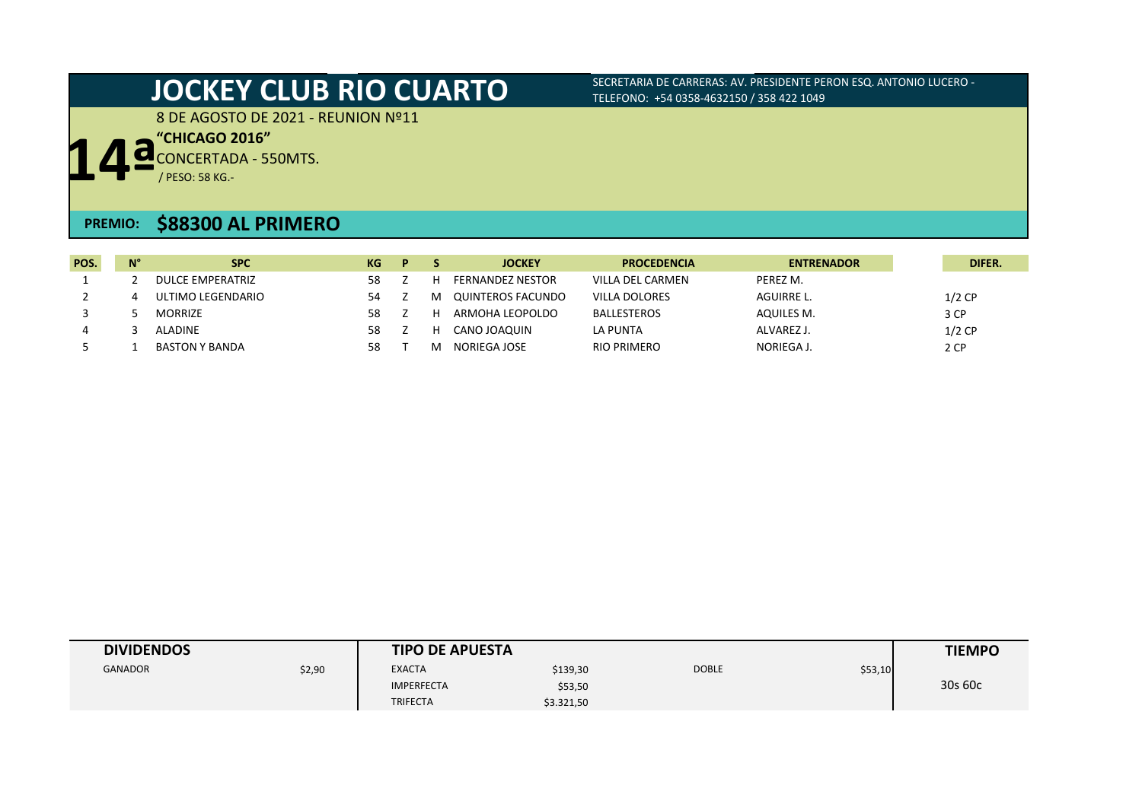8 DE AGOSTO DE 2021 - REUNION Nº11

**14ª "CHICAGO 2016"**

CONCERTADA - 550MTS.

/ PESO: 58 KG.-

### **PREMIO: \$88300 AL PRIMERO**

| POS. | $N^{\circ}$ | <b>SPC</b>            | KG | P |   | <b>JOCKEY</b>           | <b>PROCEDENCIA</b> | <b>ENTRENADOR</b> | DIFER.   |
|------|-------------|-----------------------|----|---|---|-------------------------|--------------------|-------------------|----------|
|      |             | DULCE EMPERATRIZ      | 58 |   |   | <b>FERNANDEZ NESTOR</b> | VILLA DEL CARMEN   | PEREZ M.          |          |
|      |             | ULTIMO LEGENDARIO     |    |   | м | QUINTEROS FACUNDO       | VILLA DOLORES      | AGUIRRE L.        | $1/2$ CP |
|      |             | <b>MORRIZE</b>        | 58 |   |   | ARMOHA LEOPOLDO         | BALLESTEROS        | AQUILES M.        | 3 CP     |
| 4    |             | ALADINE               | 58 |   |   | CANO JOAOUIN            | LA PUNTA           | ALVAREZ J.        | $1/2$ CP |
|      |             | <b>BASTON Y BANDA</b> | 58 |   |   | NORIEGA JOSE            | RIO PRIMERO        | NORIEGA J.        | 2 CP     |

| <b>DIVIDENDOS</b> |        | <b>TIPO DE APUESTA</b> |            |              |         | <b>TIEMPO</b> |
|-------------------|--------|------------------------|------------|--------------|---------|---------------|
| <b>GANADOR</b>    | \$2,90 | <b>EXACTA</b>          | \$139,30   | <b>DOBLE</b> | \$53,10 |               |
|                   |        | <b>IMPERFECTA</b>      | \$53,50    |              |         | 30s 60c       |
|                   |        | <b>TRIFECTA</b>        | \$3.321,50 |              |         |               |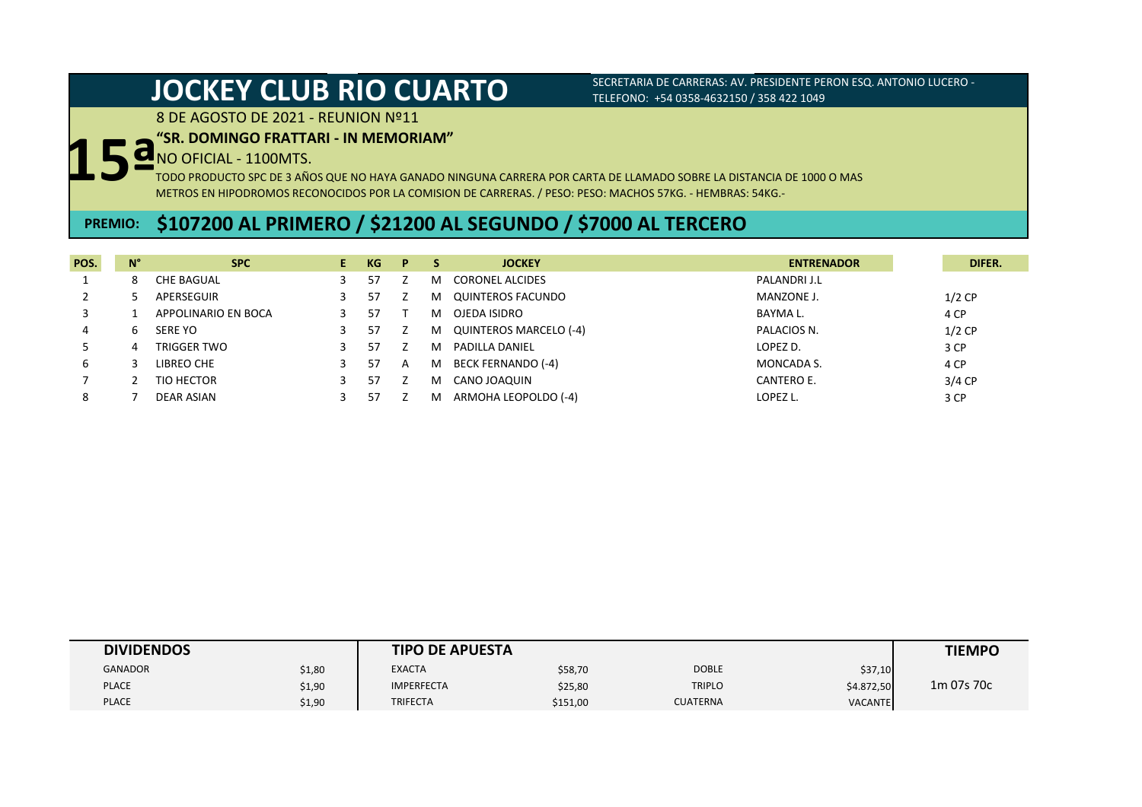8 DE AGOSTO DE 2021 - REUNION Nº11

### **"SR. DOMINGO FRATTARI - IN MEMORIAM"**

# **15ª** NO OFICIAL - 1100MTS.

TODO PRODUCTO SPC DE 3 AÑOS QUE NO HAYA GANADO NINGUNA CARRERA POR CARTA DE LLAMADO SOBRE LA DISTANCIA DE 1000 O MAS METROS EN HIPODROMOS RECONOCIDOS POR LA COMISION DE CARRERAS. / PESO: PESO: MACHOS 57KG. - HEMBRAS: 54KG.-

## **PREMIO: \$107200 AL PRIMERO / \$21200 AL SEGUNDO / \$7000 AL TERCERO**

| POS. | $\mathsf{N}^\circ$ | <b>SPC</b>          | E. | KG. | P. | s | <b>JOCKEY</b>             | <b>ENTRENADOR</b> | DIFER.   |
|------|--------------------|---------------------|----|-----|----|---|---------------------------|-------------------|----------|
|      |                    | CHE BAGUAL          |    | 57  |    | м | <b>CORONEL ALCIDES</b>    | PALANDRI J.L      |          |
|      |                    | APERSEGUIR          |    | 57  |    | м | QUINTEROS FACUNDO         | MANZONE J.        | $1/2$ CP |
|      |                    | APPOLINARIO EN BOCA |    | 57  |    | м | OJEDA ISIDRO              | BAYMA L.          | 4 CP     |
|      | h                  | SERE YO             |    | 57  |    | м | QUINTEROS MARCELO (-4)    | PALACIOS N.       | $1/2$ CP |
|      |                    | TRIGGER TWO         |    | 57  |    | м | <b>PADILLA DANIEL</b>     | LOPEZ D.          | 3 CP     |
| b    |                    | LIBREO CHE          |    | 57  | A  | M | <b>BECK FERNANDO (-4)</b> | MONCADA S.        | 4 CP     |
|      |                    | TIO HECTOR          |    | 57  |    | м | CANO JOAQUIN              | CANTERO E.        | $3/4$ CP |
| 8    |                    | DEAR ASIAN          |    | 57  |    |   | ARMOHA LEOPOLDO (-4)      | LOPEZ L.          | 3 CP     |

| <b>DIVIDENDOS</b> |        | <b>TIPO DE APUESTA</b> |          |                 |                | <b>TIEMPO</b> |
|-------------------|--------|------------------------|----------|-----------------|----------------|---------------|
| <b>GANADOR</b>    | \$1,80 | <b>EXACTA</b>          | \$58,70  | <b>DOBLE</b>    | \$37,10        |               |
| <b>PLACE</b>      | \$1,90 | <b>IMPERFECTA</b>      | \$25,80  | <b>TRIPLO</b>   | \$4.872,50     | 1m 07s 70c    |
| <b>PLACE</b>      | \$1,90 | TRIFECTA               | \$151,00 | <b>CUATERNA</b> | <b>VACANTE</b> |               |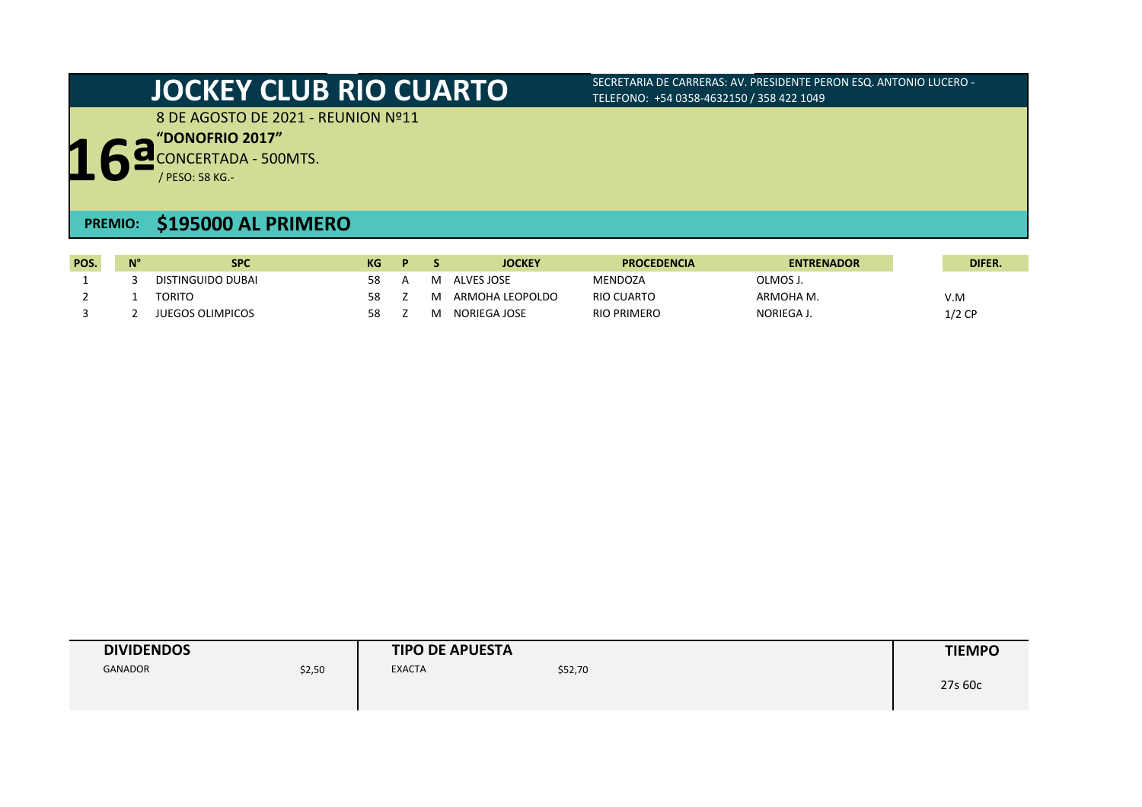8 DE AGOSTO DE 2021 - REUNION Nº11

**"DONOFRIO 2017"**

**16ª** CONCERTADA - 500MTS.

/ PESO: 58 KG.-

## **PREMIO: \$195000 AL PRIMERO**

| POS. | $N^{\circ}$ | <b>SPC</b>              | KG. | D. |   | <b>JOCKEY</b>   | <b>PROCEDENCIA</b> | <b>ENTRENADOR</b> | DIFER.   |
|------|-------------|-------------------------|-----|----|---|-----------------|--------------------|-------------------|----------|
|      |             | DISTINGUIDO DUBAI       | 58  |    |   | ALVES JOSE      | <b>MENDOZA</b>     | ጋLMOS J.          |          |
|      |             | TORITO                  | 58  |    | м | ARMOHA LEOPOLDO | RIO CUARTO         | ARMOHA M.         | V.M      |
|      |             | <b>JUEGOS OLIMPICOS</b> | 58  |    | м | NORIEGA JOSE    | <b>RIO PRIMERO</b> | NORIEGA J.        | $1/2$ CP |

| <b>DIVIDENDOS</b> |        | <b>TIPO DE APUESTA</b> |         | <b>TIEMPO</b> |
|-------------------|--------|------------------------|---------|---------------|
| <b>GANADOR</b>    | \$2,50 | <b>EXACTA</b>          | \$52,70 | 27s 60c       |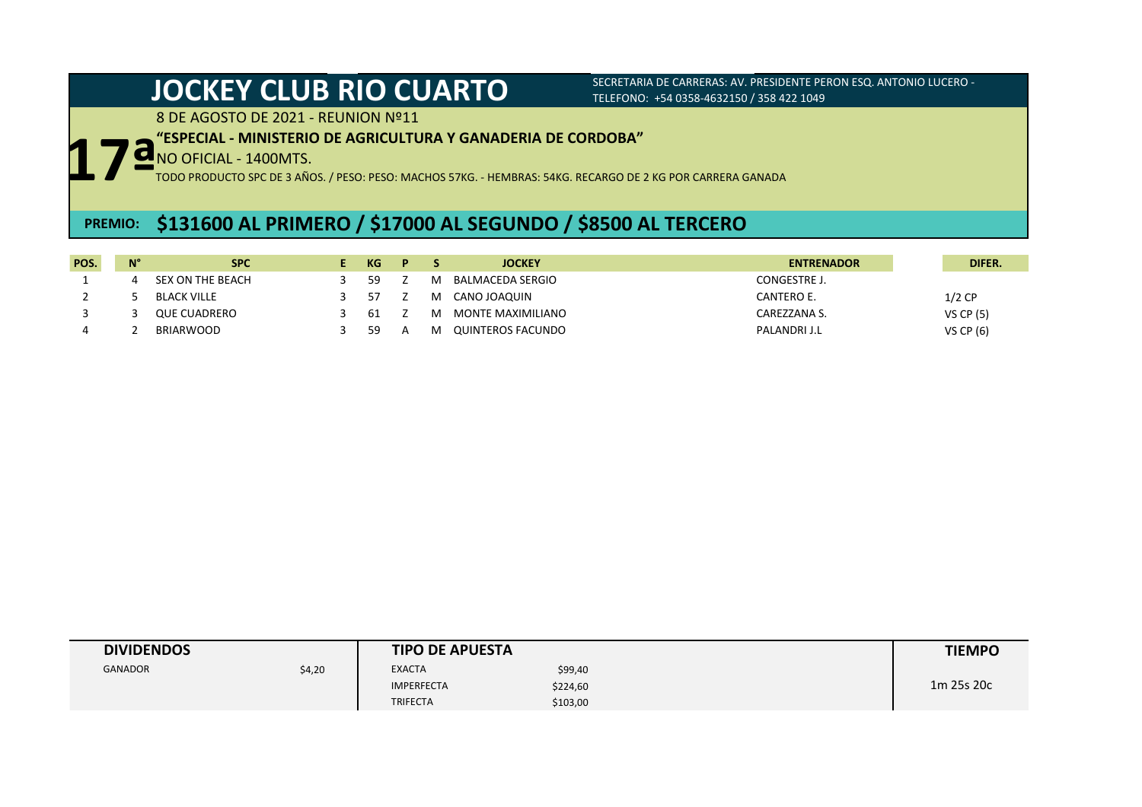8 DE AGOSTO DE 2021 - REUNION Nº11

### **"ESPECIAL - MINISTERIO DE AGRICULTURA Y GANADERIA DE CORDOBA"**

**17ª** NO OFICIAL - 1400MTS.

TODO PRODUCTO SPC DE 3 AÑOS. / PESO: PESO: MACHOS 57KG. - HEMBRAS: 54KG. RECARGO DE 2 KG POR CARRERA GANADA

## **PREMIO: \$131600 AL PRIMERO / \$17000 AL SEGUNDO / \$8500 AL TERCERO**

| POS. | $N^{\circ}$ | <b>SPC</b>          | KG. | P. |   | <b>JOCKEY</b>     | <b>ENTRENADOR</b> | DIFER.           |
|------|-------------|---------------------|-----|----|---|-------------------|-------------------|------------------|
|      |             | SEX ON THE BEACH    | -59 |    | м | BALMACEDA SERGIO  | CONGESTRE J.      |                  |
|      |             | <b>BLACK VILLE</b>  | -57 |    | м | CANO JOAQUIN      | CANTERO E.        | $1/2$ CP         |
|      |             | <b>QUE CUADRERO</b> | -61 |    | M | MONTE MAXIMILIANO | CAREZZANA S.      | <b>VS CP (5)</b> |
|      |             | <b>BRIARWOOD</b>    | -59 | A  | м | QUINTEROS FACUNDO | PALANDRI J.L      | VS CP $(6)$      |

| <b>DIVIDENDOS</b> |        | <b>TIPO DE APUESTA</b> |          | <b>TIEMPO</b> |
|-------------------|--------|------------------------|----------|---------------|
| <b>GANADOR</b>    | \$4,20 | <b>EXACTA</b>          | \$99,40  |               |
|                   |        | <b>IMPERFECTA</b>      | \$224,60 | 1m 25s 20c    |
|                   |        | <b>TRIFECTA</b>        | \$103,00 |               |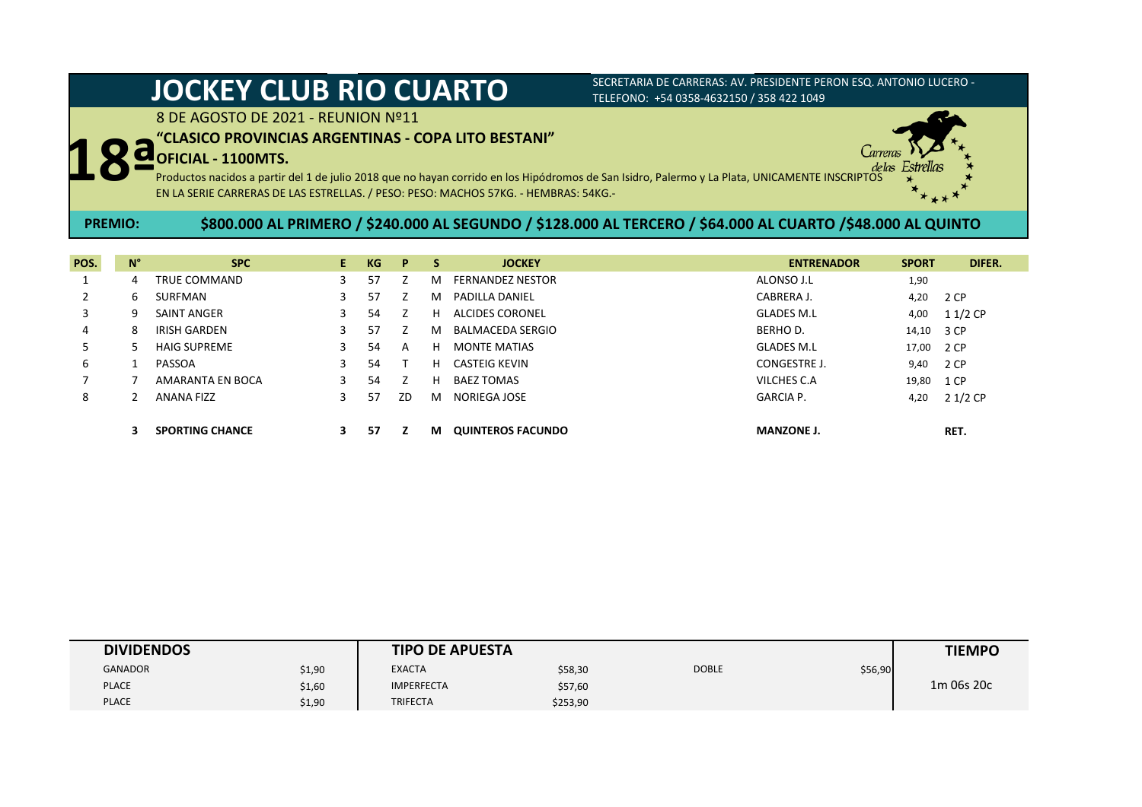# **JOCKEY CLUB RIO CUARTO** SECRETARIA DE CARRERAS: AV. PRESIDENTE PERON ESQ. ANTONIO LUCERO -

# TELEFONO: +54 0358-4632150 / 358 422 1049

8 DE AGOSTO DE 2021 - REUNION Nº11

### **"CLASICO PROVINCIAS ARGENTINAS - COPA LITO BESTANI"**

### **OFICIAL - 1100MTS.**



**18ª** Productos nacidos a partir del 1 de julio 2018 que no hayan corrido en los Hipódromos de San Isidro, Palermo y La Plata, UNICAMENTE INSCRIPTOS EN LA SERIE CARRERAS DE LAS ESTRELLAS. / PESO: PESO: MACHOS 57KG. - HEMBRAS: 54KG.-

### **\$800.000 AL PRIMERO / \$240.000 AL SEGUNDO / \$128.000 AL TERCERO / \$64.000 AL CUARTO /\$48.000 AL QUINTO PREMIO:**

| POS. | $N^{\circ}$ | <b>SPC</b>             | E. | KG | P  | S. | <b>JOCKEY</b>            | <b>ENTRENADOR</b>   | <b>SPORT</b> | DIFER.   |
|------|-------------|------------------------|----|----|----|----|--------------------------|---------------------|--------------|----------|
|      | 4           | TRUE COMMAND           | 3  | 57 |    | м  | <b>FERNANDEZ NESTOR</b>  | ALONSO J.L          | 1,90         |          |
|      | 6           | SURFMAN                | 3  | 57 |    | м  | <b>PADILLA DANIEL</b>    | CABRERA J.          | 4,20         | 2 CP     |
| 3    | q           | SAINT ANGER            | 3  | 54 |    | H. | ALCIDES CORONEL          | <b>GLADES M.L</b>   | 4,00         | 1 1/2 CP |
| 4    | 8           | <b>IRISH GARDEN</b>    | 3  | 57 |    | м  | <b>BALMACEDA SERGIO</b>  | <b>BERHOD.</b>      | 14,10        | 3 CP     |
| 5.   |             | <b>HAIG SUPREME</b>    | 3  | 54 | A  | н  | <b>MONTE MATIAS</b>      | <b>GLADES M.L</b>   | 17,00        | 2 CP     |
| 6    |             | PASSOA                 | 3  | 54 |    | н  | CASTEIG KEVIN            | <b>CONGESTRE J.</b> | 9,40         | 2 CP     |
|      |             | AMARANTA EN BOCA       | 3  | 54 |    | н  | <b>BAEZ TOMAS</b>        | VILCHES C.A         | 19,80        | 1 CP     |
| 8    |             | <b>ANANA FIZZ</b>      | 3  | 57 | ZD | м  | NORIEGA JOSE             | <b>GARCIA P.</b>    | 4,20         | 2 1/2 CP |
|      |             |                        |    |    |    |    |                          |                     |              |          |
|      |             | <b>SPORTING CHANCE</b> | З. | 57 |    | М  | <b>QUINTEROS FACUNDO</b> | <b>MANZONE J.</b>   |              | RET.     |

| <b>DIVIDENDOS</b> |        | <b>TIPO DE APUESTA</b> |          |              |         | <b>TIEMPO</b> |
|-------------------|--------|------------------------|----------|--------------|---------|---------------|
| <b>GANADOR</b>    | \$1,90 | <b>EXACTA</b>          | \$58,30  | <b>DOBLE</b> | \$56,90 |               |
| <b>PLACE</b>      | \$1,60 | <b>IMPERFECTA</b>      | \$57,60  |              |         | 1m 06s 20c    |
| <b>PLACE</b>      | \$1,90 | <b>TRIFECTA</b>        | \$253,90 |              |         |               |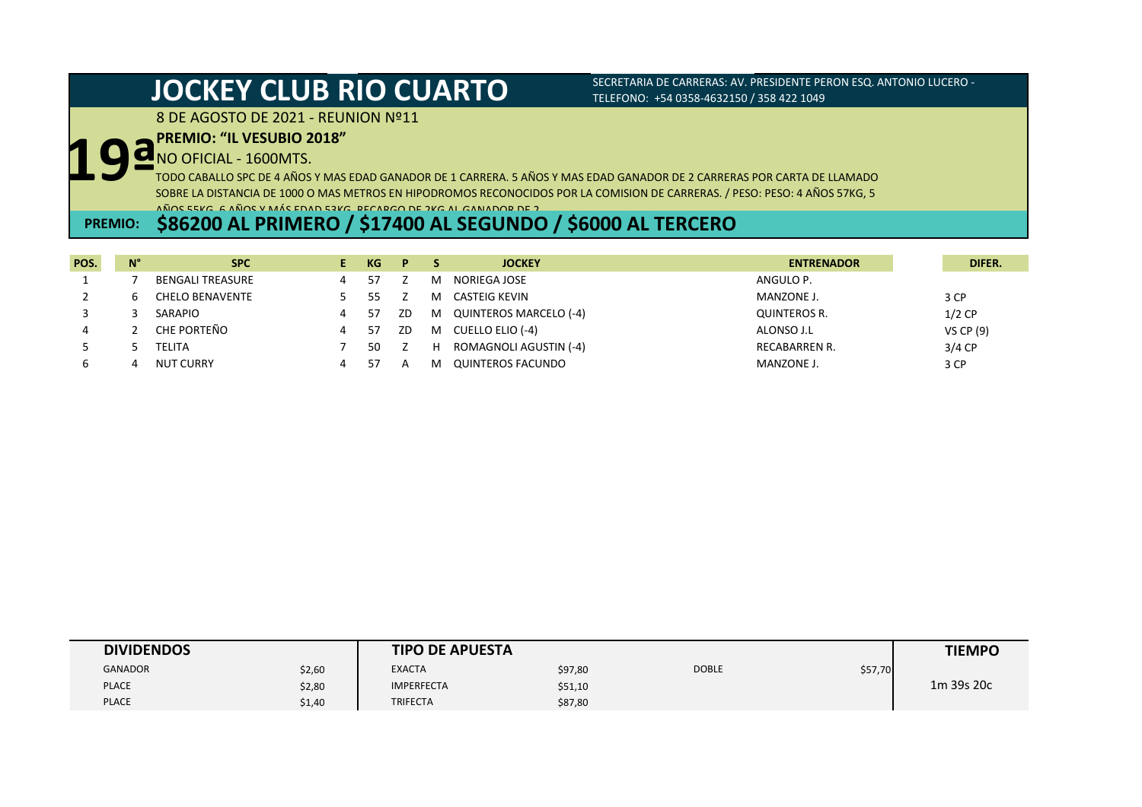### 8 DE AGOSTO DE 2021 - REUNION Nº11

# **19ª PREMIO: "IL VESUBIO 2018"**

NO OFICIAL - 1600MTS.

TODO CABALLO SPC DE 4 AÑOS Y MAS EDAD GANADOR DE 1 CARRERA. 5 AÑOS Y MAS EDAD GANADOR DE 2 CARRERAS POR CARTA DE LLAMADO SOBRE LA DISTANCIA DE 1000 O MAS METROS EN HIPODROMOS RECONOCIDOS POR LA COMISION DE CARRERAS. / PESO: PESO: 4 AÑOS 57KG, 5 AÑOS 55KG, 6 AÑOS Y MÁS EDAD 53KG. RECARGO DE 2KG AL GANADOR DE 2.

## **PREMIO: \$86200 AL PRIMERO / \$17400 AL SEGUNDO / \$6000 AL TERCERO**

| POS. | $N^{\circ}$ | <b>SPC</b>              |   | KG. | P.  |   | <b>JOCKEY</b>            | <b>ENTRENADOR</b> | DIFER.           |
|------|-------------|-------------------------|---|-----|-----|---|--------------------------|-------------------|------------------|
|      |             | <b>BENGALI TREASURE</b> |   | 57  |     | м | NORIEGA JOSE             | ANGULO P.         |                  |
|      |             | <b>CHELO BENAVENTE</b>  |   |     |     | м | CASTEIG KEVIN            | MANZONE J.        | 3 CP             |
|      |             | SARAPIO                 |   | 57  | ZD  | M | QUINTEROS MARCELO (-4)   | QUINTEROS R.      | $1/2$ CP         |
|      |             | CHE PORTEÑO             | 4 | 57  | ZD. | M | CUELLO ELIO (-4)         | ALONSO J.L        | <b>VS CP (9)</b> |
|      |             | TELITA                  |   | 50  |     | н | ROMAGNOLI AGUSTIN (-4)   | RECABARREN R.     | $3/4$ CP         |
|      |             | <b>NUT CURRY</b>        |   |     |     | м | <b>QUINTEROS FACUNDO</b> | <b>MANZONE J.</b> | 3 CP             |

| <b>DIVIDENDOS</b> |        | <b>TIPO DE APUESTA</b> |         |              |         | <b>TIEMPO</b> |
|-------------------|--------|------------------------|---------|--------------|---------|---------------|
| <b>GANADOR</b>    | \$2,60 | <b>EXACTA</b>          | \$97,80 | <b>DOBLE</b> | \$57,70 |               |
| <b>PLACE</b>      | \$2,80 | <b>IMPERFECTA</b>      | \$51,10 |              |         | 1m 39s 20c    |
| <b>PLACE</b>      | \$1,40 | TRIFECTA               | \$87,80 |              |         |               |